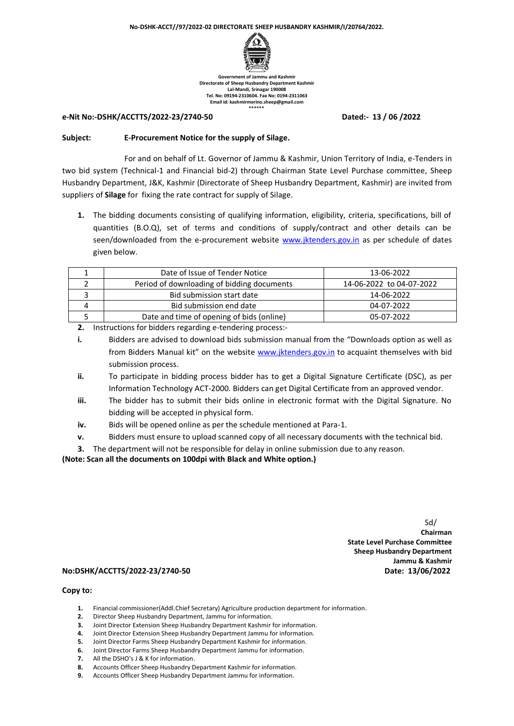

**Government of Jammu and Kashmir Directorate of Sheep Husbandry Department Kashmir Lal-Mandi, Srinagar 190008 Tel. No: 09194-2310604. Fax No: 0194-2311063 Email id: kashmirmerino.sheep@gmail.com \*\*\*\*\*\***

#### **e-Nit No:-DSHK/ACCTTS/2022-23/2740-50 Dated:- 13 / 06 /2022**

### **Subject: E-Procurement Notice for the supply of Silage.**

For and on behalf of Lt. Governor of Jammu & Kashmir, Union Territory of India, e-Tenders in two bid system (Technical-1 and Financial bid-2) through Chairman State Level Purchase committee, Sheep Husbandry Department, J&K, Kashmir (Directorate of Sheep Husbandry Department, Kashmir) are invited from suppliers of **Silage** for fixing the rate contract for supply of Silage.

**1.** The bidding documents consisting of qualifying information, eligibility, criteria, specifications, bill of quantities (B.O.Q), set of terms and conditions of supply/contract and other details can be seen/downloaded from the e-procurement website [www.jktenders.gov.in](http://www.jktenders.gov.in/) as per schedule of dates given below.

| Date of Issue of Tender Notice             | 13-06-2022               |
|--------------------------------------------|--------------------------|
| Period of downloading of bidding documents | 14-06-2022 to 04-07-2022 |
| Bid submission start date                  | 14-06-2022               |
| Bid submission end date                    | 04-07-2022               |
| Date and time of opening of bids (online)  | 05-07-2022               |

**2.** Instructions for bidders regarding e-tendering process:-

- **i.** Bidders are advised to download bids submission manual from the "Downloads option as well as from Bidders Manual kit" on the website [www.jktenders.gov.in](http://www.jktenders.gov.in/) to acquaint themselves with bid submission process.
- **ii.** To participate in bidding process bidder has to get a Digital Signature Certificate (DSC), as per Information Technology ACT-2000. Bidders can get Digital Certificate from an approved vendor.
- **iii.** The bidder has to submit their bids online in electronic format with the Digital Signature. No bidding will be accepted in physical form.
- **iv.** Bids will be opened online as per the schedule mentioned at Para-1.
- **v.** Bidders must ensure to upload scanned copy of all necessary documents with the technical bid.
- **3.** The department will not be responsible for delay in online submission due to any reason.

**(Note: Scan all the documents on 100dpi with Black and White option.)**

 Sd/ **Chairman State Level Purchase Committee Sheep Husbandry Department Jammu & Kashmir**

### **No:DSHK/ACCTTS/2022-23/2740-50 Date: 13/06/2022**

### **Copy to:**

- **1.** Financial commissioner(Addl.Chief Secretary) Agriculture production department for information.
- **2.** Director Sheep Husbandry Department, Jammu for information.
- **3.** Joint Director Extension Sheep Husbandry Department Kashmir for information.
- **4.** Joint Director Extension Sheep Husbandry Department Jammu for information.
- **5.** Joint Director Farms Sheep Husbandry Department Kashmir for information.
- **6.** Joint Director Farms Sheep Husbandry Department Jammu for information.<br>**7.** All the DSHO's J & K for information.
- **7.** All the DSHO's J & K for information.<br>**8.** Accounts Officer Sheep Husbandrv D
- **8.** Accounts Officer Sheep Husbandry Department Kashmir for information.
- **9.** Accounts Officer Sheep Husbandry Department Jammu for information.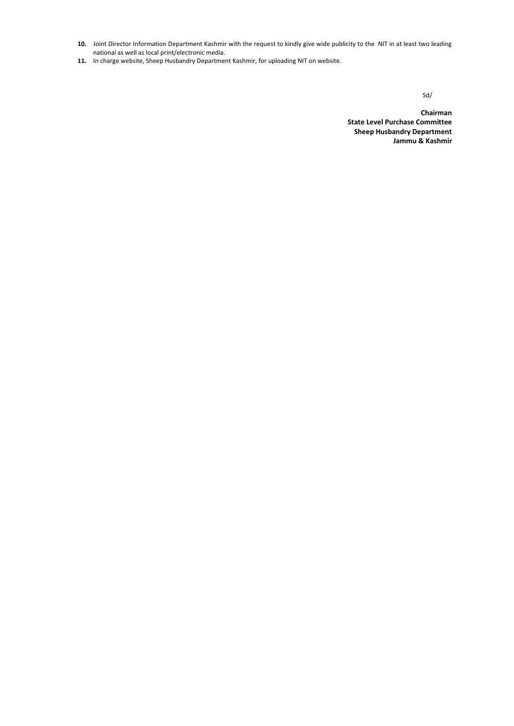- **10.** Joint Director Information Department Kashmir with the request to kindly give wide publicity to the NIT in at least two leading national as well as local print/electronic media.
- **11.** In charge website, Sheep Husbandry Department Kashmir, for uploading NIT on website.

Sd/state and the state of the state of the state of the state of the state of the state of the state of the state of the state of the state of the state of the state of the state of the state of the state of the state of t

**Chairman State Level Purchase Committee Sheep Husbandry Department Jammu & Kashmir**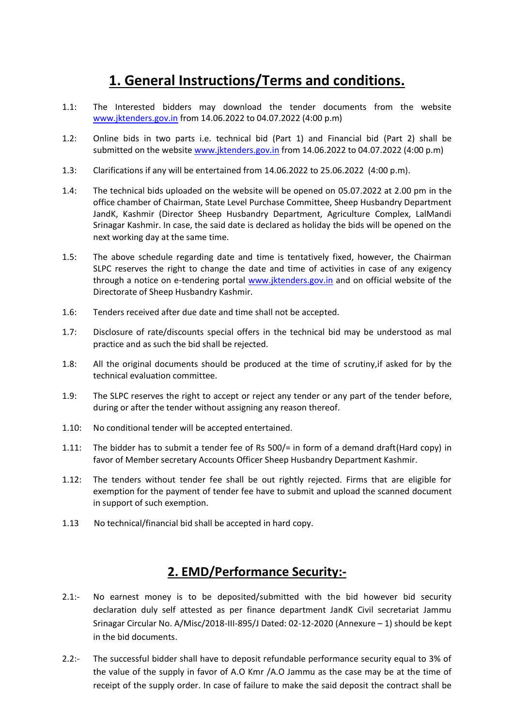# **1. General Instructions/Terms and conditions.**

- 1.1: The Interested bidders may download the tender documents from the website [www.jktenders.gov.in](http://www.jktenders.gov.in/) from 14.06.2022 to 04.07.2022 (4:00 p.m)
- 1.2: Online bids in two parts i.e. technical bid (Part 1) and Financial bid (Part 2) shall be submitted on the website [www.jktenders.gov.in](http://www.jktenders.gov.in/) from 14.06.2022 to 04.07.2022 (4:00 p.m)
- 1.3: Clarifications if any will be entertained from 14.06.2022 to 25.06.2022 (4:00 p.m).
- 1.4: The technical bids uploaded on the website will be opened on 05.07.2022 at 2.00 pm in the office chamber of Chairman, State Level Purchase Committee, Sheep Husbandry Department JandK, Kashmir (Director Sheep Husbandry Department, Agriculture Complex, LalMandi Srinagar Kashmir. In case, the said date is declared as holiday the bids will be opened on the next working day at the same time.
- 1.5: The above schedule regarding date and time is tentatively fixed, however, the Chairman SLPC reserves the right to change the date and time of activities in case of any exigency through a notice on e-tendering portal [www.jktenders.gov.in](http://www.jktenders.gov.in/) and on official website of the Directorate of Sheep Husbandry Kashmir.
- 1.6: Tenders received after due date and time shall not be accepted.
- 1.7: Disclosure of rate/discounts special offers in the technical bid may be understood as mal practice and as such the bid shall be rejected.
- 1.8: All the original documents should be produced at the time of scrutiny,if asked for by the technical evaluation committee.
- 1.9: The SLPC reserves the right to accept or reject any tender or any part of the tender before, during or after the tender without assigning any reason thereof.
- 1.10: No conditional tender will be accepted entertained.
- 1.11: The bidder has to submit a tender fee of Rs 500/= in form of a demand draft(Hard copy) in favor of Member secretary Accounts Officer Sheep Husbandry Department Kashmir.
- 1.12: The tenders without tender fee shall be out rightly rejected. Firms that are eligible for exemption for the payment of tender fee have to submit and upload the scanned document in support of such exemption.
- 1.13 No technical/financial bid shall be accepted in hard copy.

# **2. EMD/Performance Security:-**

- 2.1:- No earnest money is to be deposited/submitted with the bid however bid security declaration duly self attested as per finance department JandK Civil secretariat Jammu Srinagar Circular No. A/Misc/2018-III-895/J Dated: 02-12-2020 (Annexure – 1) should be kept in the bid documents.
- 2.2:- The successful bidder shall have to deposit refundable performance security equal to 3% of the value of the supply in favor of A.O Kmr /A.O Jammu as the case may be at the time of receipt of the supply order. In case of failure to make the said deposit the contract shall be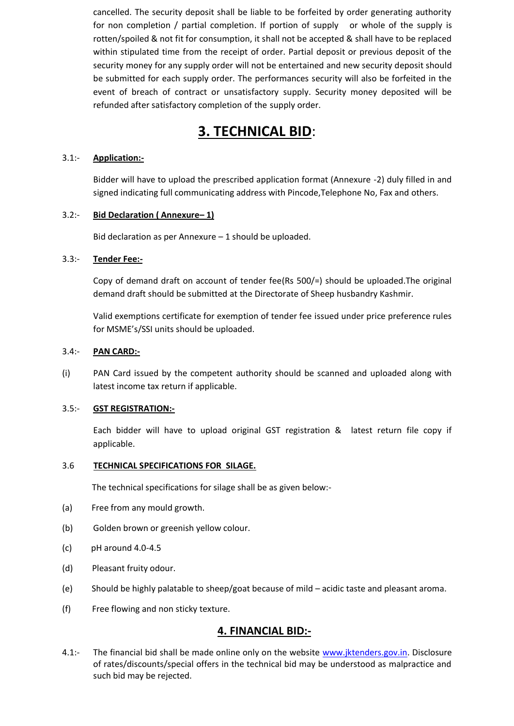cancelled. The security deposit shall be liable to be forfeited by order generating authority for non completion / partial completion. If portion of supply or whole of the supply is rotten/spoiled & not fit for consumption, it shall not be accepted & shall have to be replaced within stipulated time from the receipt of order. Partial deposit or previous deposit of the security money for any supply order will not be entertained and new security deposit should be submitted for each supply order. The performances security will also be forfeited in the event of breach of contract or unsatisfactory supply. Security money deposited will be refunded after satisfactory completion of the supply order.

# **3. TECHNICAL BID**:

### 3.1:- **Application:-**

Bidder will have to upload the prescribed application format (Annexure -2) duly filled in and signed indicating full communicating address with Pincode,Telephone No, Fax and others.

### 3.2:- **Bid Declaration ( Annexure– 1)**

Bid declaration as per Annexure – 1 should be uploaded.

### 3.3:- **Tender Fee:-**

Copy of demand draft on account of tender fee(Rs 500/=) should be uploaded.The original demand draft should be submitted at the Directorate of Sheep husbandry Kashmir.

Valid exemptions certificate for exemption of tender fee issued under price preference rules for MSME's/SSI units should be uploaded.

### 3.4:- **PAN CARD:-**

(i) PAN Card issued by the competent authority should be scanned and uploaded along with latest income tax return if applicable.

### 3.5:- **GST REGISTRATION:-**

Each bidder will have to upload original GST registration & latest return file copy if applicable.

### 3.6 **TECHNICAL SPECIFICATIONS FOR SILAGE.**

The technical specifications for silage shall be as given below:-

- (a) Free from any mould growth.
- (b) Golden brown or greenish yellow colour.
- (c) pH around 4.0-4.5
- (d) Pleasant fruity odour.
- (e) Should be highly palatable to sheep/goat because of mild acidic taste and pleasant aroma.
- (f) Free flowing and non sticky texture.

## **4. FINANCIAL BID:-**

4.1:- The financial bid shall be made online only on the website [www.jktenders.gov.in.](http://www.jktenders.gov.in/) Disclosure of rates/discounts/special offers in the technical bid may be understood as malpractice and such bid may be rejected.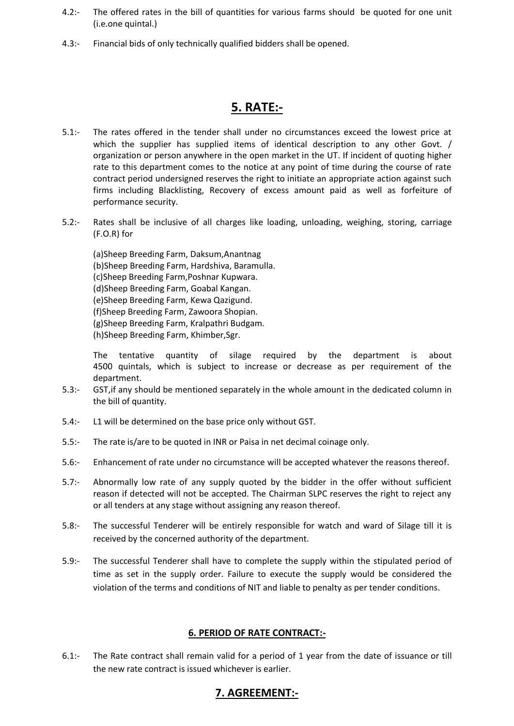- 4.2:- The offered rates in the bill of quantities for various farms should be quoted for one unit (i.e.one quintal.)
- 4.3:- Financial bids of only technically qualified bidders shall be opened.

# **5. RATE:-**

- 5.1:- The rates offered in the tender shall under no circumstances exceed the lowest price at which the supplier has supplied items of identical description to any other Govt. / organization or person anywhere in the open market in the UT. If incident of quoting higher rate to this department comes to the notice at any point of time during the course of rate contract period undersigned reserves the right to initiate an appropriate action against such firms including Blacklisting, Recovery of excess amount paid as well as forfeiture of performance security.
- 5.2:- Rates shall be inclusive of all charges like loading, unloading, weighing, storing, carriage (F.O.R) for

(a)Sheep Breeding Farm, Daksum,Anantnag (b)Sheep Breeding Farm, Hardshiva, Baramulla. (c)Sheep Breeding Farm,Poshnar Kupwara. (d)Sheep Breeding Farm, Goabal Kangan. (e)Sheep Breeding Farm, Kewa Qazigund. (f)Sheep Breeding Farm, Zawoora Shopian. (g)Sheep Breeding Farm, Kralpathri Budgam. (h)Sheep Breeding Farm, Khimber,Sgr.

The tentative quantity of silage required by the department is about 4500 quintals, which is subject to increase or decrease as per requirement of the department.

- 5.3:- GST,if any should be mentioned separately in the whole amount in the dedicated column in the bill of quantity.
- 5.4:- L1 will be determined on the base price only without GST.
- 5.5:- The rate is/are to be quoted in INR or Paisa in net decimal coinage only.
- 5.6:- Enhancement of rate under no circumstance will be accepted whatever the reasons thereof.
- 5.7:- Abnormally low rate of any supply quoted by the bidder in the offer without sufficient reason if detected will not be accepted. The Chairman SLPC reserves the right to reject any or all tenders at any stage without assigning any reason thereof.
- 5.8:- The successful Tenderer will be entirely responsible for watch and ward of Silage till it is received by the concerned authority of the department.
- 5.9:- The successful Tenderer shall have to complete the supply within the stipulated period of time as set in the supply order. Failure to execute the supply would be considered the violation of the terms and conditions of NIT and liable to penalty as per tender conditions.

## **6. PERIOD OF RATE CONTRACT:-**

6.1:- The Rate contract shall remain valid for a period of 1 year from the date of issuance or till the new rate contract is issued whichever is earlier.

## **7. AGREEMENT:-**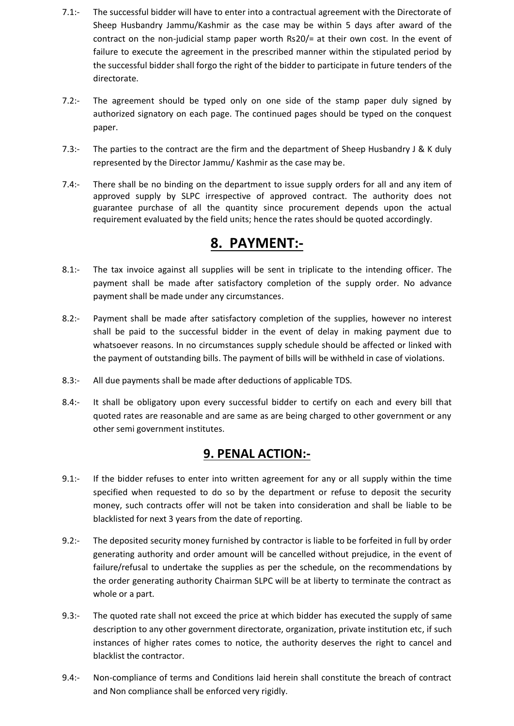- 7.1:- The successful bidder will have to enter into a contractual agreement with the Directorate of Sheep Husbandry Jammu/Kashmir as the case may be within 5 days after award of the contract on the non-judicial stamp paper worth Rs20/= at their own cost. In the event of failure to execute the agreement in the prescribed manner within the stipulated period by the successful bidder shall forgo the right of the bidder to participate in future tenders of the directorate.
- 7.2:- The agreement should be typed only on one side of the stamp paper duly signed by authorized signatory on each page. The continued pages should be typed on the conquest paper.
- 7.3:- The parties to the contract are the firm and the department of Sheep Husbandry J & K duly represented by the Director Jammu/ Kashmir as the case may be.
- 7.4:- There shall be no binding on the department to issue supply orders for all and any item of approved supply by SLPC irrespective of approved contract. The authority does not guarantee purchase of all the quantity since procurement depends upon the actual requirement evaluated by the field units; hence the rates should be quoted accordingly.

# **8. PAYMENT:-**

- 8.1:- The tax invoice against all supplies will be sent in triplicate to the intending officer. The payment shall be made after satisfactory completion of the supply order. No advance payment shall be made under any circumstances.
- 8.2:- Payment shall be made after satisfactory completion of the supplies, however no interest shall be paid to the successful bidder in the event of delay in making payment due to whatsoever reasons. In no circumstances supply schedule should be affected or linked with the payment of outstanding bills. The payment of bills will be withheld in case of violations.
- 8.3:- All due payments shall be made after deductions of applicable TDS.
- 8.4:- It shall be obligatory upon every successful bidder to certify on each and every bill that quoted rates are reasonable and are same as are being charged to other government or any other semi government institutes.

# **9. PENAL ACTION:-**

- 9.1:- If the bidder refuses to enter into written agreement for any or all supply within the time specified when requested to do so by the department or refuse to deposit the security money, such contracts offer will not be taken into consideration and shall be liable to be blacklisted for next 3 years from the date of reporting.
- 9.2:- The deposited security money furnished by contractor is liable to be forfeited in full by order generating authority and order amount will be cancelled without prejudice, in the event of failure/refusal to undertake the supplies as per the schedule, on the recommendations by the order generating authority Chairman SLPC will be at liberty to terminate the contract as whole or a part.
- 9.3:- The quoted rate shall not exceed the price at which bidder has executed the supply of same description to any other government directorate, organization, private institution etc, if such instances of higher rates comes to notice, the authority deserves the right to cancel and blacklist the contractor.
- 9.4:- Non-compliance of terms and Conditions laid herein shall constitute the breach of contract and Non compliance shall be enforced very rigidly.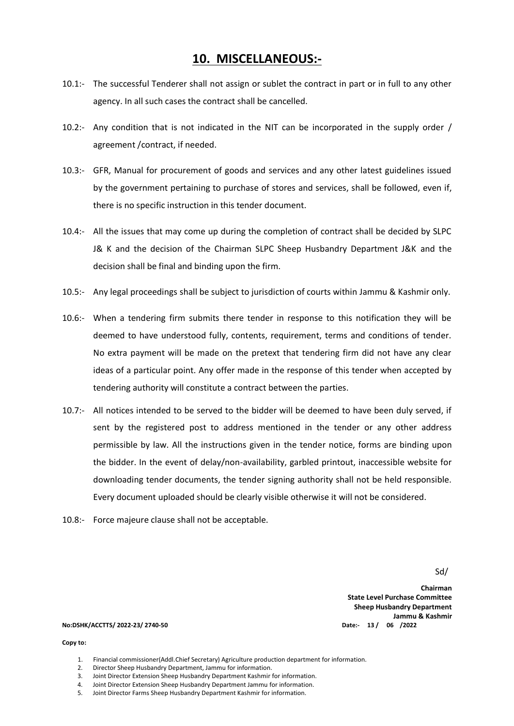## **10. MISCELLANEOUS:-**

- 10.1:- The successful Tenderer shall not assign or sublet the contract in part or in full to any other agency. In all such cases the contract shall be cancelled.
- 10.2:- Any condition that is not indicated in the NIT can be incorporated in the supply order / agreement /contract, if needed.
- 10.3:- GFR, Manual for procurement of goods and services and any other latest guidelines issued by the government pertaining to purchase of stores and services, shall be followed, even if, there is no specific instruction in this tender document.
- 10.4:- All the issues that may come up during the completion of contract shall be decided by SLPC J& K and the decision of the Chairman SLPC Sheep Husbandry Department J&K and the decision shall be final and binding upon the firm.
- 10.5:- Any legal proceedings shall be subject to jurisdiction of courts within Jammu & Kashmir only.
- 10.6:- When a tendering firm submits there tender in response to this notification they will be deemed to have understood fully, contents, requirement, terms and conditions of tender. No extra payment will be made on the pretext that tendering firm did not have any clear ideas of a particular point. Any offer made in the response of this tender when accepted by tendering authority will constitute a contract between the parties.
- 10.7:- All notices intended to be served to the bidder will be deemed to have been duly served, if sent by the registered post to address mentioned in the tender or any other address permissible by law. All the instructions given in the tender notice, forms are binding upon the bidder. In the event of delay/non-availability, garbled printout, inaccessible website for downloading tender documents, the tender signing authority shall not be held responsible. Every document uploaded should be clearly visible otherwise it will not be considered.
- 10.8:- Force majeure clause shall not be acceptable.

Sd/

**Chairman State Level Purchase Committee Sheep Husbandry Department Jammu & Kashmir**

#### **No:DSHK/ACCTTS/ 2022-23/ 2740-50 Date:- 13 / 06 /2022**

#### **Copy to:**

- 1. Financial commissioner(Addl.Chief Secretary) Agriculture production department for information.
- 2. Director Sheep Husbandry Department, Jammu for information.
- 3. Joint Director Extension Sheep Husbandry Department Kashmir for information.
- 4. Joint Director Extension Sheep Husbandry Department Jammu for information.
- 5. Joint Director Farms Sheep Husbandry Department Kashmir for information.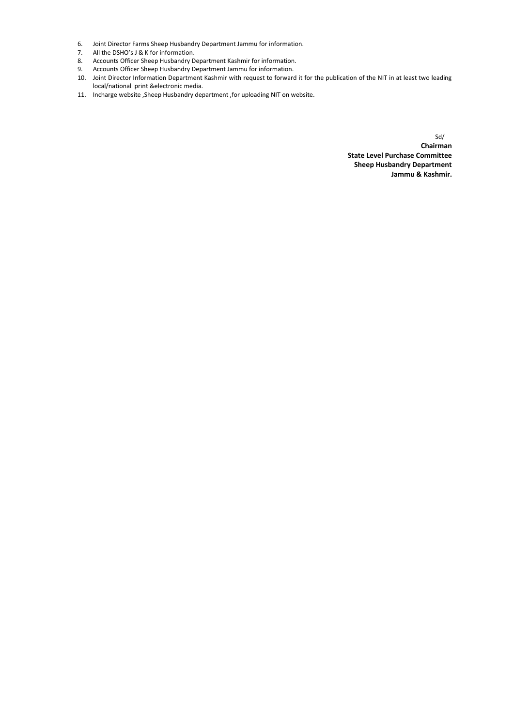- 6. Joint Director Farms Sheep Husbandry Department Jammu for information.
- 7. All the DSHO's J & K for information.
- 8. Accounts Officer Sheep Husbandry Department Kashmir for information.
- 9. Accounts Officer Sheep Husbandry Department Jammu for information.
- 10. Joint Director Information Department Kashmir with request to forward it for the publication of the NIT in at least two leading local/national print &electronic media.
- 11. Incharge website ,Sheep Husbandry department ,for uploading NIT on website.

Sd/ **Chairman State Level Purchase Committee Sheep Husbandry Department Jammu & Kashmir.**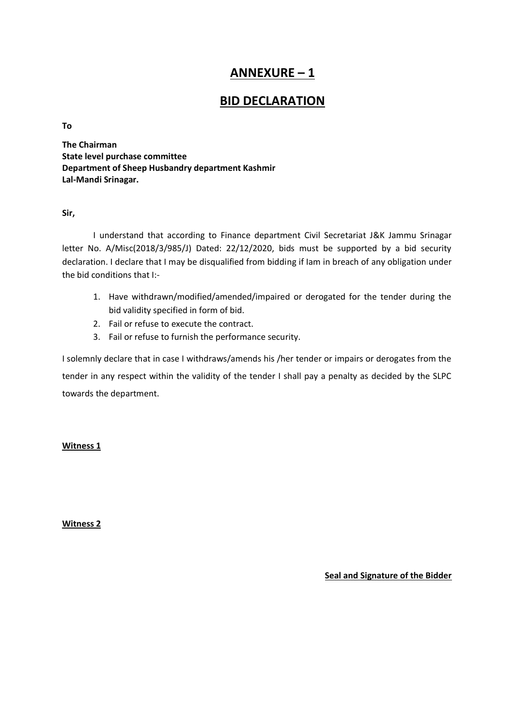# **ANNEXURE – 1**

# **BID DECLARATION**

### **To**

**The Chairman State level purchase committee Department of Sheep Husbandry department Kashmir Lal-Mandi Srinagar.**

## **Sir,**

I understand that according to Finance department Civil Secretariat J&K Jammu Srinagar letter No. A/Misc(2018/3/985/J) Dated: 22/12/2020, bids must be supported by a bid security declaration. I declare that I may be disqualified from bidding if Iam in breach of any obligation under the bid conditions that I:-

- 1. Have withdrawn/modified/amended/impaired or derogated for the tender during the bid validity specified in form of bid.
- 2. Fail or refuse to execute the contract.
- 3. Fail or refuse to furnish the performance security.

I solemnly declare that in case I withdraws/amends his /her tender or impairs or derogates from the tender in any respect within the validity of the tender I shall pay a penalty as decided by the SLPC towards the department.

## **Witness 1**

**Witness 2**

**Seal and Signature of the Bidder**